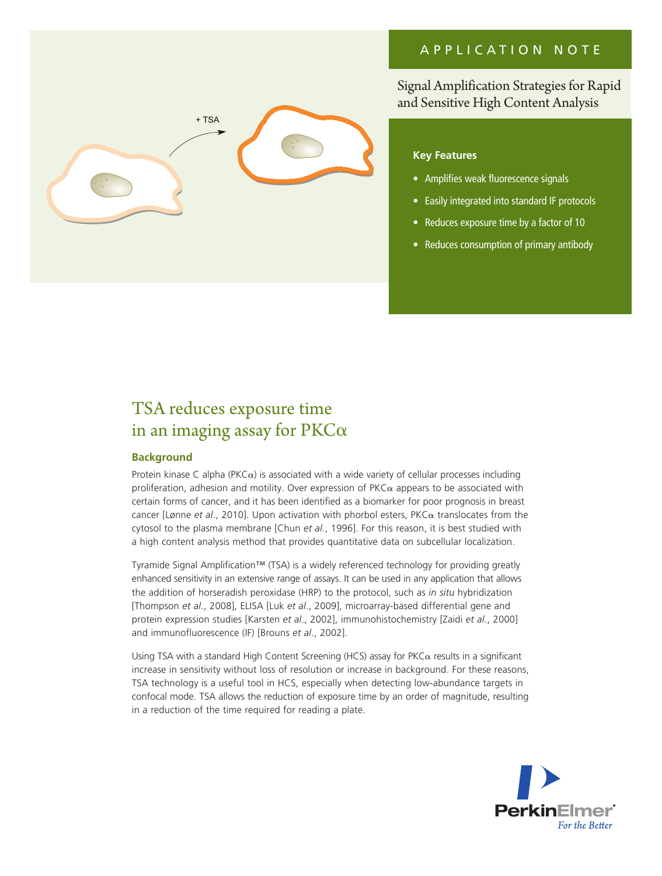## APPLICATION NOTE



Signal Amplification Strategies for Rapid and Sensitive High Content Analysis

## **Key Features**

- Amplifies weak fluorescence signals
- Easily integrated into standard IF protocols
- Reduces exposure time by a factor of 10
- Reduces consumption of primary antibody

# TSA reduces exposure time in an imaging assay for  $PKC\alpha$

## **Background**

Protein kinase C alpha (PKC $\alpha$ ) is associated with a wide variety of cellular processes including proliferation, adhesion and motility. Over expression of  $PKC\alpha$  appears to be associated with certain forms of cancer, and it has been identified as a biomarker for poor prognosis in breast cancer [Lønne *et al*., 2010]. Upon activation with phorbol esters, PKCa translocates from the cytosol to the plasma membrane [Chun *et al*., 1996]. For this reason, it is best studied with a high content analysis method that provides quantitative data on subcellular localization.

Tyramide Signal Amplification™ (TSA) is a widely referenced technology for providing greatly enhanced sensitivity in an extensive range of assays. It can be used in any application that allows the addition of horseradish peroxidase (HRP) to the protocol, such as *in situ* hybridization [Thompson *et al*., 2008], ELISA [Luk *et al*., 2009], microarray-based differential gene and protein expression studies [Karsten *et al*., 2002], immunohistochemistry [Zaidi *et al*., 2000] and immunofluorescence (IF) [Brouns *et al*., 2002].

Using TSA with a standard High Content Screening (HCS) assay for PKC $\alpha$  results in a significant increase in sensitivity without loss of resolution or increase in background. For these reasons, TSA technology is a useful tool in HCS, especially when detecting low-abundance targets in confocal mode. TSA allows the reduction of exposure time by an order of magnitude, resulting in a reduction of the time required for reading a plate.

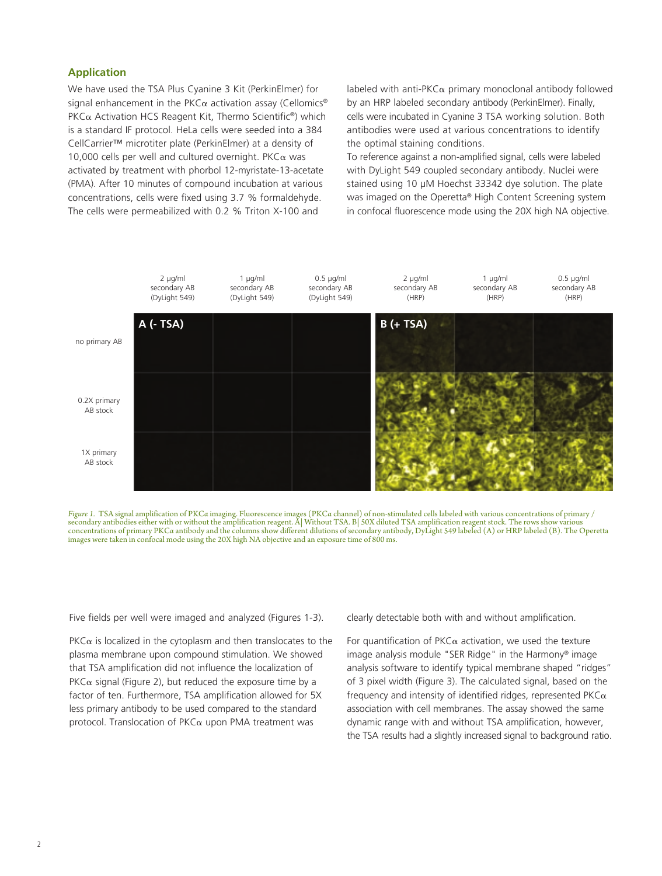#### **Application**

We have used the TSA Plus Cyanine 3 Kit (PerkinElmer) for signal enhancement in the PKC $\alpha$  activation assay (Cellomics® PKC $\alpha$  Activation HCS Reagent Kit, Thermo Scientific<sup>®</sup>) which is a standard IF protocol. HeLa cells were seeded into a 384 CellCarrier™ microtiter plate (PerkinElmer) at a density of 10,000 cells per well and cultured overnight. PKC $\alpha$  was activated by treatment with phorbol 12-myristate-13-acetate (PMA). After 10 minutes of compound incubation at various concentrations, cells were fixed using 3.7 % formaldehyde. The cells were permeabilized with 0.2 % Triton X-100 and

labeled with anti-PKC $\alpha$  primary monoclonal antibody followed by an HRP labeled secondary antibody (PerkinElmer). Finally, cells were incubated in Cyanine 3 TSA working solution. Both antibodies were used at various concentrations to identify the optimal staining conditions.

To reference against a non-amplified signal, cells were labeled with DyLight 549 coupled secondary antibody. Nuclei were stained using 10 µM Hoechst 33342 dye solution. The plate was imaged on the Operetta® High Content Screening system in confocal fluorescence mode using the 20X high NA objective.





Five fields per well were imaged and analyzed (Figures 1-3).

 $PKC\alpha$  is localized in the cytoplasm and then translocates to the plasma membrane upon compound stimulation. We showed that TSA amplification did not influence the localization of PKC $\alpha$  signal (Figure 2), but reduced the exposure time by a factor of ten. Furthermore, TSA amplification allowed for 5X less primary antibody to be used compared to the standard protocol. Translocation of  $PKC\alpha$  upon PMA treatment was

clearly detectable both with and without amplification.

For quantification of  $PKC\alpha$  activation, we used the texture image analysis module "SER Ridge" in the Harmony® image analysis software to identify typical membrane shaped "ridges" of 3 pixel width (Figure 3). The calculated signal, based on the frequency and intensity of identified ridges, represented  $PKC\alpha$ association with cell membranes. The assay showed the same dynamic range with and without TSA amplification, however, the TSA results had a slightly increased signal to background ratio.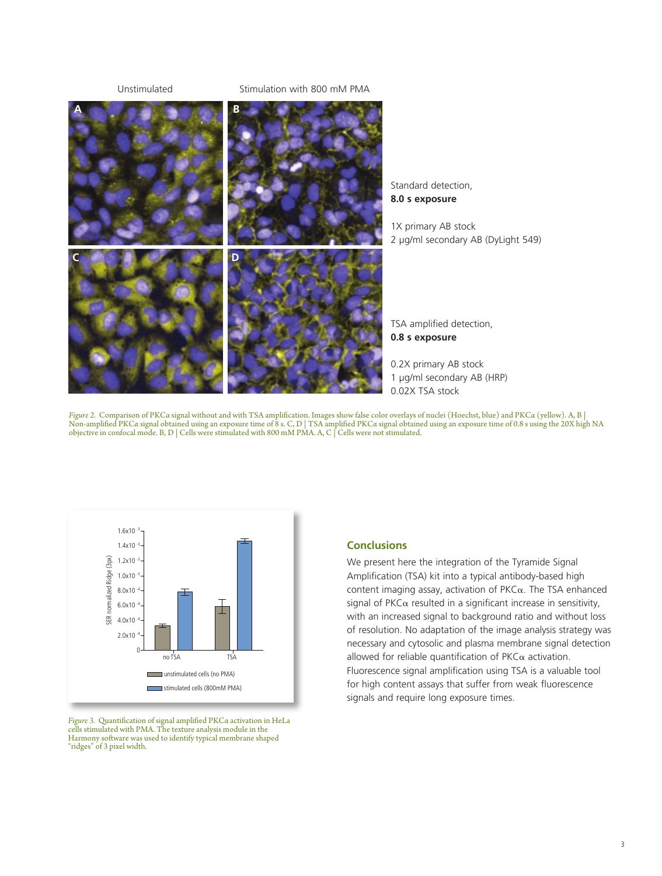Unstimulated

#### Stimulation with 800 mM PMA



Standard detection, **8.0 s exposure**

1X primary AB stock 2 µg/ml secondary AB (DyLight 549)

TSA amplified detection, **0.8 s exposure**

0.2X primary AB stock 1 µg/ml secondary AB (HRP) 0.02X TSA stock

Figure 2. Comparison of PKCa signal without and with TSA amplification. Images show false color overlays of nuclei (Hoechst, blue) and PKCa (yellow). A, B |<br>Non-amplified PKCa signal obtained using an exposure time of 8 s objective in confocal mode. B, D  $\vert$  Cells were stimulated with 800 mM PMA. A, C  $\vert$  Cells were not stimulated.



*Figure 3.* Quantification of signal amplified PKCα activation in HeLa cells stimulated with PMA. The texture analysis module in the Harmony software was used to identify typical membrane shaped "ridges" of 3 pixel width.

### **Conclusions**

We present here the integration of the Tyramide Signal Amplification (TSA) kit into a typical antibody-based high content imaging assay, activation of  $PKC\alpha$ . The TSA enhanced signal of  $PKC\alpha$  resulted in a significant increase in sensitivity, with an increased signal to background ratio and without loss of resolution. No adaptation of the image analysis strategy was necessary and cytosolic and plasma membrane signal detection allowed for reliable quantification of  $PKC\alpha$  activation. Fluorescence signal amplification using TSA is a valuable tool for high content assays that suffer from weak fluorescence signals and require long exposure times.